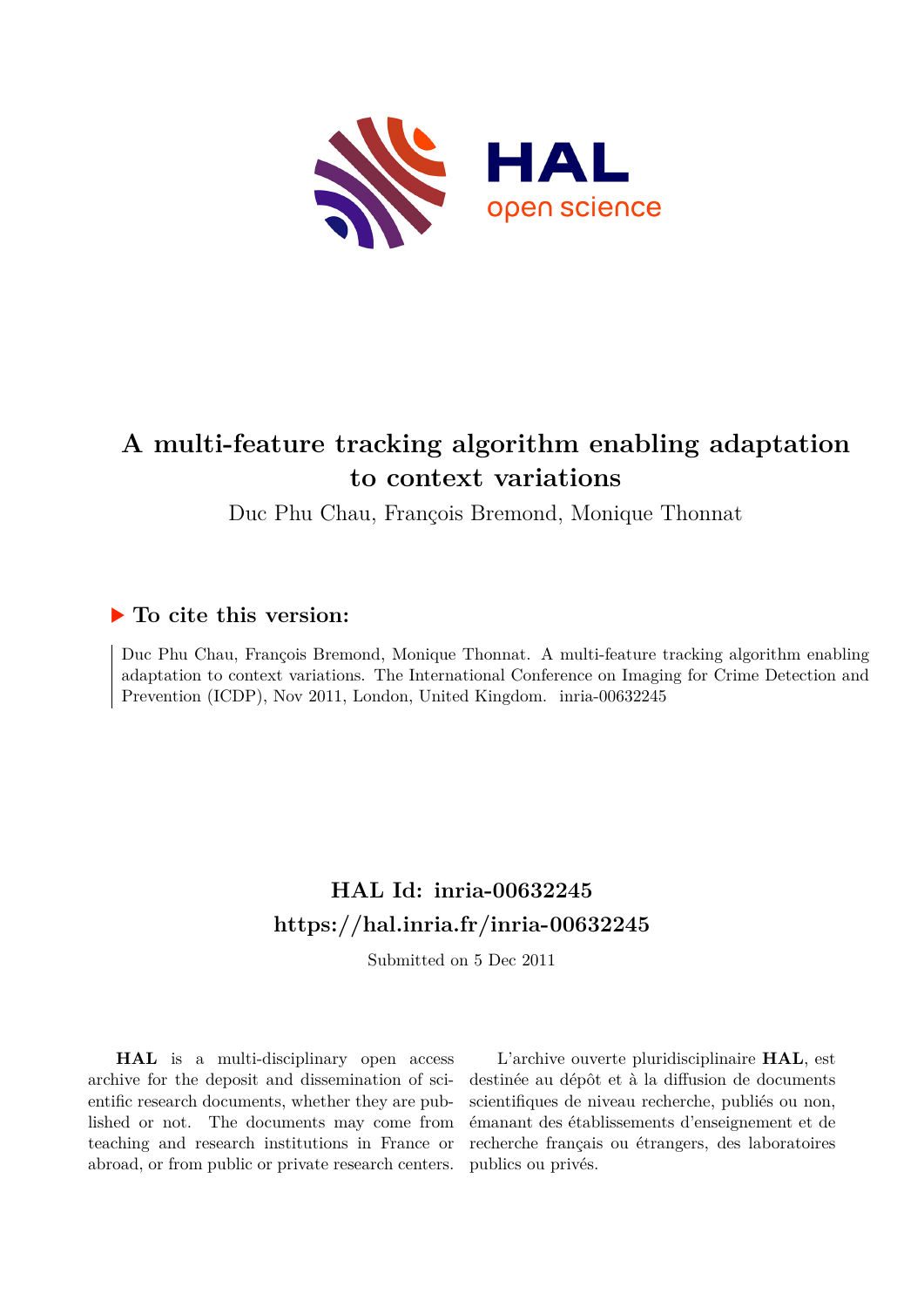

# **A multi-feature tracking algorithm enabling adaptation to context variations**

Duc Phu Chau, François Bremond, Monique Thonnat

# **To cite this version:**

Duc Phu Chau, François Bremond, Monique Thonnat. A multi-feature tracking algorithm enabling adaptation to context variations. The International Conference on Imaging for Crime Detection and Prevention (ICDP), Nov 2011, London, United Kingdom. inria-00632245

# **HAL Id: inria-00632245 <https://hal.inria.fr/inria-00632245>**

Submitted on 5 Dec 2011

**HAL** is a multi-disciplinary open access archive for the deposit and dissemination of scientific research documents, whether they are published or not. The documents may come from teaching and research institutions in France or abroad, or from public or private research centers.

L'archive ouverte pluridisciplinaire **HAL**, est destinée au dépôt et à la diffusion de documents scientifiques de niveau recherche, publiés ou non, émanant des établissements d'enseignement et de recherche français ou étrangers, des laboratoires publics ou privés.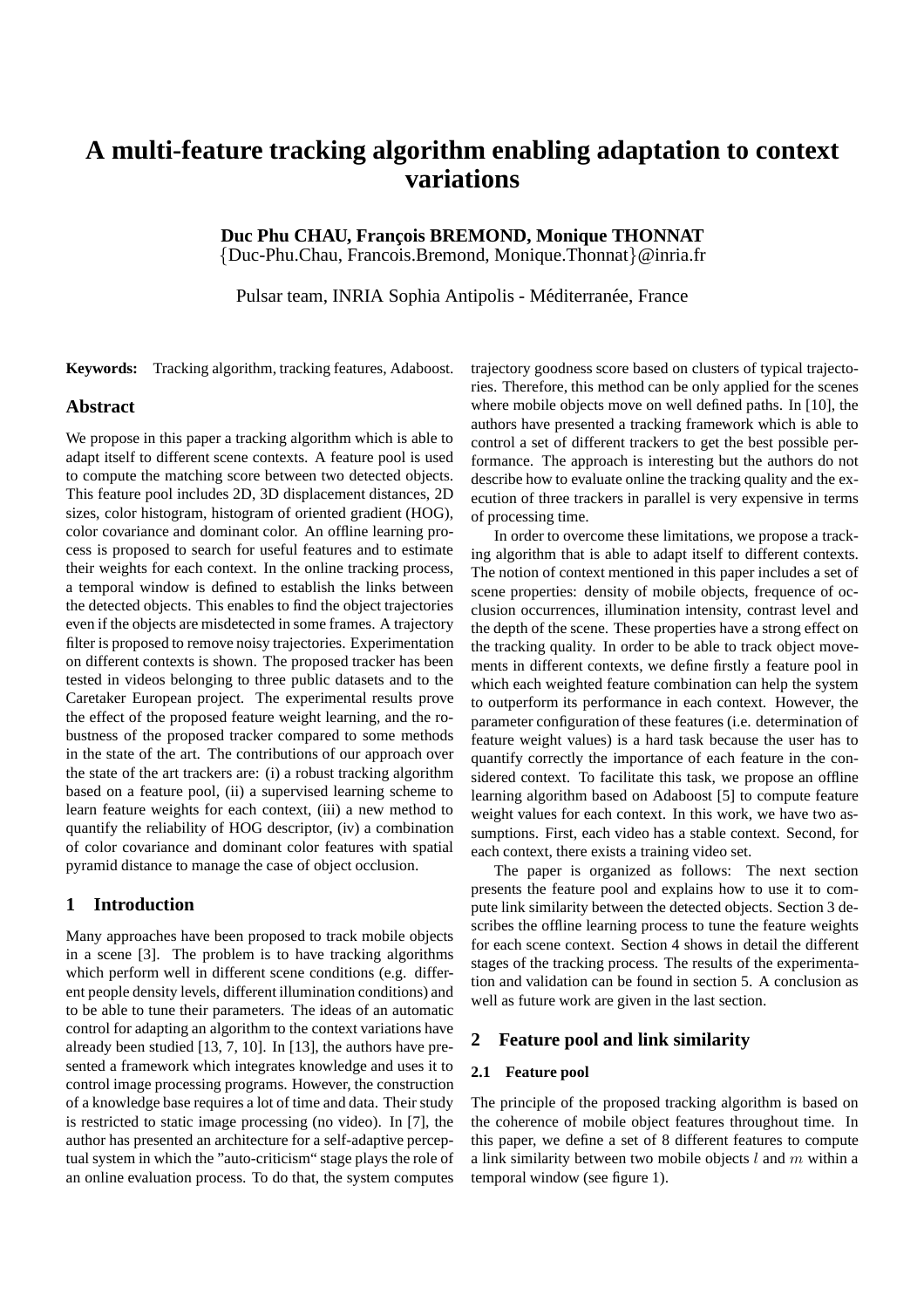# **A multi-feature tracking algorithm enabling adaptation to context variations**

Duc Phu CHAU, François BREMOND, Monique THONNAT {Duc-Phu.Chau, Francois.Bremond, Monique.Thonnat}@inria.fr

Pulsar team, INRIA Sophia Antipolis - Méditerranée, France

**Keywords:** Tracking algorithm, tracking features, Adaboost.

# **Abstract**

We propose in this paper a tracking algorithm which is able to adapt itself to different scene contexts. A feature pool is used to compute the matching score between two detected objects. This feature pool includes 2D, 3D displacement distances, 2D sizes, color histogram, histogram of oriented gradient (HOG), color covariance and dominant color. An offline learning process is proposed to search for useful features and to estimate their weights for each context. In the online tracking process, a temporal window is defined to establish the links between the detected objects. This enables to find the object trajectories even if the objects are misdetected in some frames. A trajectory filter is proposed to remove noisy trajectories. Experimentation on different contexts is shown. The proposed tracker has been tested in videos belonging to three public datasets and to the Caretaker European project. The experimental results prove the effect of the proposed feature weight learning, and the robustness of the proposed tracker compared to some methods in the state of the art. The contributions of our approach over the state of the art trackers are: (i) a robust tracking algorithm based on a feature pool, (ii) a supervised learning scheme to learn feature weights for each context, (iii) a new method to quantify the reliability of HOG descriptor, (iv) a combination of color covariance and dominant color features with spatial pyramid distance to manage the case of object occlusion.

# **1 Introduction**

Many approaches have been proposed to track mobile objects in a scene [3]. The problem is to have tracking algorithms which perform well in different scene conditions (e.g. different people density levels, different illumination conditions) and to be able to tune their parameters. The ideas of an automatic control for adapting an algorithm to the context variations have already been studied [13, 7, 10]. In [13], the authors have presented a framework which integrates knowledge and uses it to control image processing programs. However, the construction of a knowledge base requires a lot of time and data. Their study is restricted to static image processing (no video). In [7], the author has presented an architecture for a self-adaptive perceptual system in which the "auto-criticism" stage plays the role of an online evaluation process. To do that, the system computes trajectory goodness score based on clusters of typical trajectories. Therefore, this method can be only applied for the scenes where mobile objects move on well defined paths. In [10], the authors have presented a tracking framework which is able to control a set of different trackers to get the best possible performance. The approach is interesting but the authors do not describe how to evaluate online the tracking quality and the execution of three trackers in parallel is very expensive in terms of processing time.

In order to overcome these limitations, we propose a tracking algorithm that is able to adapt itself to different contexts. The notion of context mentioned in this paper includes a set of scene properties: density of mobile objects, frequence of occlusion occurrences, illumination intensity, contrast level and the depth of the scene. These properties have a strong effect on the tracking quality. In order to be able to track object movements in different contexts, we define firstly a feature pool in which each weighted feature combination can help the system to outperform its performance in each context. However, the parameter configuration of these features (i.e. determination of feature weight values) is a hard task because the user has to quantify correctly the importance of each feature in the considered context. To facilitate this task, we propose an offline learning algorithm based on Adaboost [5] to compute feature weight values for each context. In this work, we have two assumptions. First, each video has a stable context. Second, for each context, there exists a training video set.

The paper is organized as follows: The next section presents the feature pool and explains how to use it to compute link similarity between the detected objects. Section 3 describes the offline learning process to tune the feature weights for each scene context. Section 4 shows in detail the different stages of the tracking process. The results of the experimentation and validation can be found in section 5. A conclusion as well as future work are given in the last section.

## **2 Feature pool and link similarity**

## **2.1 Feature pool**

The principle of the proposed tracking algorithm is based on the coherence of mobile object features throughout time. In this paper, we define a set of 8 different features to compute a link similarity between two mobile objects *l* and *m* within a temporal window (see figure 1).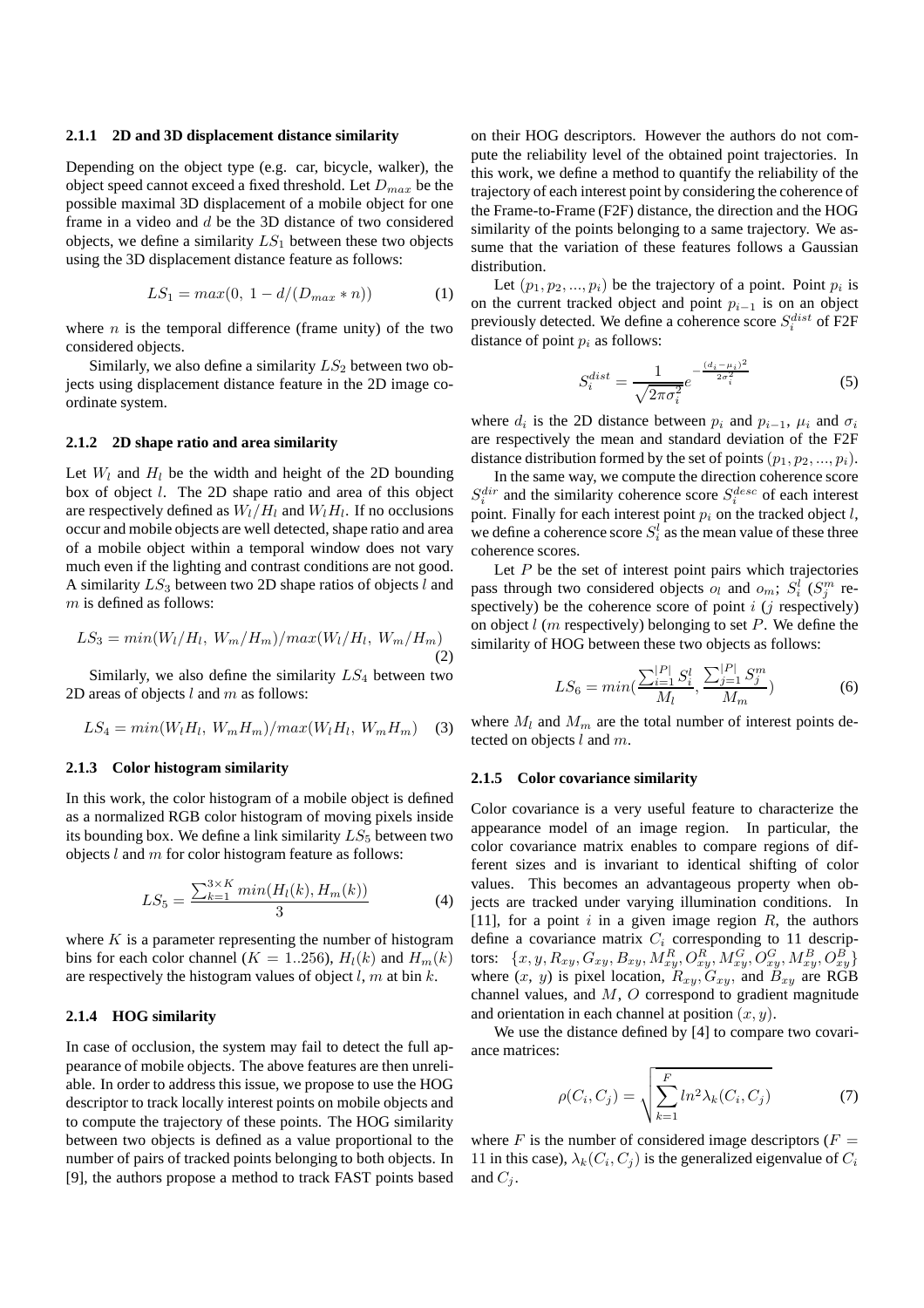#### **2.1.1 2D and 3D displacement distance similarity**

Depending on the object type (e.g. car, bicycle, walker), the object speed cannot exceed a fixed threshold. Let *Dmax* be the possible maximal 3D displacement of a mobile object for one frame in a video and *d* be the 3D distance of two considered objects, we define a similarity *LS*<sup>1</sup> between these two objects using the 3D displacement distance feature as follows:

$$
LS_1 = max(0, \ 1 - d/(D_{max} * n))
$$
 (1)

where  $n$  is the temporal difference (frame unity) of the two considered objects.

Similarly, we also define a similarity  $LS_2$  between two objects using displacement distance feature in the 2D image coordinate system.

## **2.1.2 2D shape ratio and area similarity**

Let  $W_l$  and  $H_l$  be the width and height of the 2D bounding box of object *l*. The 2D shape ratio and area of this object are respectively defined as  $W_l/H_l$  and  $W_lH_l$ . If no occlusions occur and mobile objects are well detected, shape ratio and area of a mobile object within a temporal window does not vary much even if the lighting and contrast conditions are not good. A similarity *LS*<sup>3</sup> between two 2D shape ratios of objects *l* and *m* is defined as follows:

$$
LS_3 = min(W_l/H_l, W_m/H_m)/max(W_l/H_l, W_m/H_m)
$$
\n(2)

Similarly, we also define the similarity *LS*<sup>4</sup> between two 2D areas of objects *l* and *m* as follows:

$$
LS_4 = min(W_l H_l, W_m H_m) / max(W_l H_l, W_m H_m) \quad (3)
$$

#### **2.1.3 Color histogram similarity**

In this work, the color histogram of a mobile object is defined as a normalized RGB color histogram of moving pixels inside its bounding box. We define a link similarity  $LS_5$  between two objects *l* and *m* for color histogram feature as follows:

$$
LS_5 = \frac{\sum_{k=1}^{3 \times K} \min(H_l(k), H_m(k))}{3} \tag{4}
$$

where *K* is a parameter representing the number of histogram bins for each color channel ( $K = 1..256$ ),  $H_l(k)$  and  $H_m(k)$ are respectively the histogram values of object *l*, *m* at bin *k*.

# **2.1.4 HOG similarity**

In case of occlusion, the system may fail to detect the full appearance of mobile objects. The above features are then unreliable. In order to address this issue, we propose to use the HOG descriptor to track locally interest points on mobile objects and to compute the trajectory of these points. The HOG similarity between two objects is defined as a value proportional to the number of pairs of tracked points belonging to both objects. In [9], the authors propose a method to track FAST points based on their HOG descriptors. However the authors do not compute the reliability level of the obtained point trajectories. In this work, we define a method to quantify the reliability of the trajectory of each interest point by considering the coherence of the Frame-to-Frame (F2F) distance, the direction and the HOG similarity of the points belonging to a same trajectory. We assume that the variation of these features follows a Gaussian distribution.

Let  $(p_1, p_2, ..., p_i)$  be the trajectory of a point. Point  $p_i$  is on the current tracked object and point  $p_{i-1}$  is on an object previously detected. We define a coherence score  $S_i^{dist}$  of F2F distance of point  $p_i$  as follows:

$$
S_i^{dist} = \frac{1}{\sqrt{2\pi\sigma_i^2}} e^{-\frac{(d_i - \mu_i)^2}{2\sigma_i^2}}
$$
(5)

where  $d_i$  is the 2D distance between  $p_i$  and  $p_{i-1}$ ,  $\mu_i$  and  $\sigma_i$ are respectively the mean and standard deviation of the F2F distance distribution formed by the set of points  $(p_1, p_2, ..., p_i)$ .

In the same way, we compute the direction coherence score  $S_i^{dir}$  and the similarity coherence score  $S_i^{desc}$  of each interest point. Finally for each interest point *p<sup>i</sup>* on the tracked object *l*, we define a coherence score  $S_i^l$  as the mean value of these three coherence scores.

Let *P* be the set of interest point pairs which trajectories pass through two considered objects  $o_l$  and  $o_m$ ;  $S_i^l$  ( $S_j^m$  respectively) be the coherence score of point  $i$  ( $j$  respectively) on object *l* (*m* respectively) belonging to set *P*. We define the similarity of HOG between these two objects as follows:

$$
LS_6 = min\left(\frac{\sum_{i=1}^{|P|} S_i^l}{M_l}, \frac{\sum_{j=1}^{|P|} S_j^m}{M_m}\right) \tag{6}
$$

where  $M_l$  and  $M_m$  are the total number of interest points detected on objects *l* and *m*.

#### **2.1.5 Color covariance similarity**

Color covariance is a very useful feature to characterize the appearance model of an image region. In particular, the color covariance matrix enables to compare regions of different sizes and is invariant to identical shifting of color values. This becomes an advantageous property when objects are tracked under varying illumination conditions. In [11], for a point *i* in a given image region *R*, the authors define a covariance matrix  $C_i$  corresponding to 11 descriptors:  $\{x, y, R_{xy}, G_{xy}, B_{xy}, M_{xy}^R, O_{xy}^R, M_{xy}^G, O_{xy}^G, M_{xy}^B, O_{xy}^B\}$ where  $(x, y)$  is pixel location,  $R_{xy}$ ,  $G_{xy}$ , and  $B_{xy}$  are RGB channel values, and *M*, *O* correspond to gradient magnitude and orientation in each channel at position (*x, y*).

We use the distance defined by [4] to compare two covariance matrices:

$$
\rho(C_i, C_j) = \sqrt{\sum_{k=1}^F \ln^2 \lambda_k(C_i, C_j)}
$$
\n(7)

where  $F$  is the number of considered image descriptors ( $F =$ 11 in this case),  $\lambda_k(C_i, C_j)$  is the generalized eigenvalue of  $C_i$ and  $C_i$ .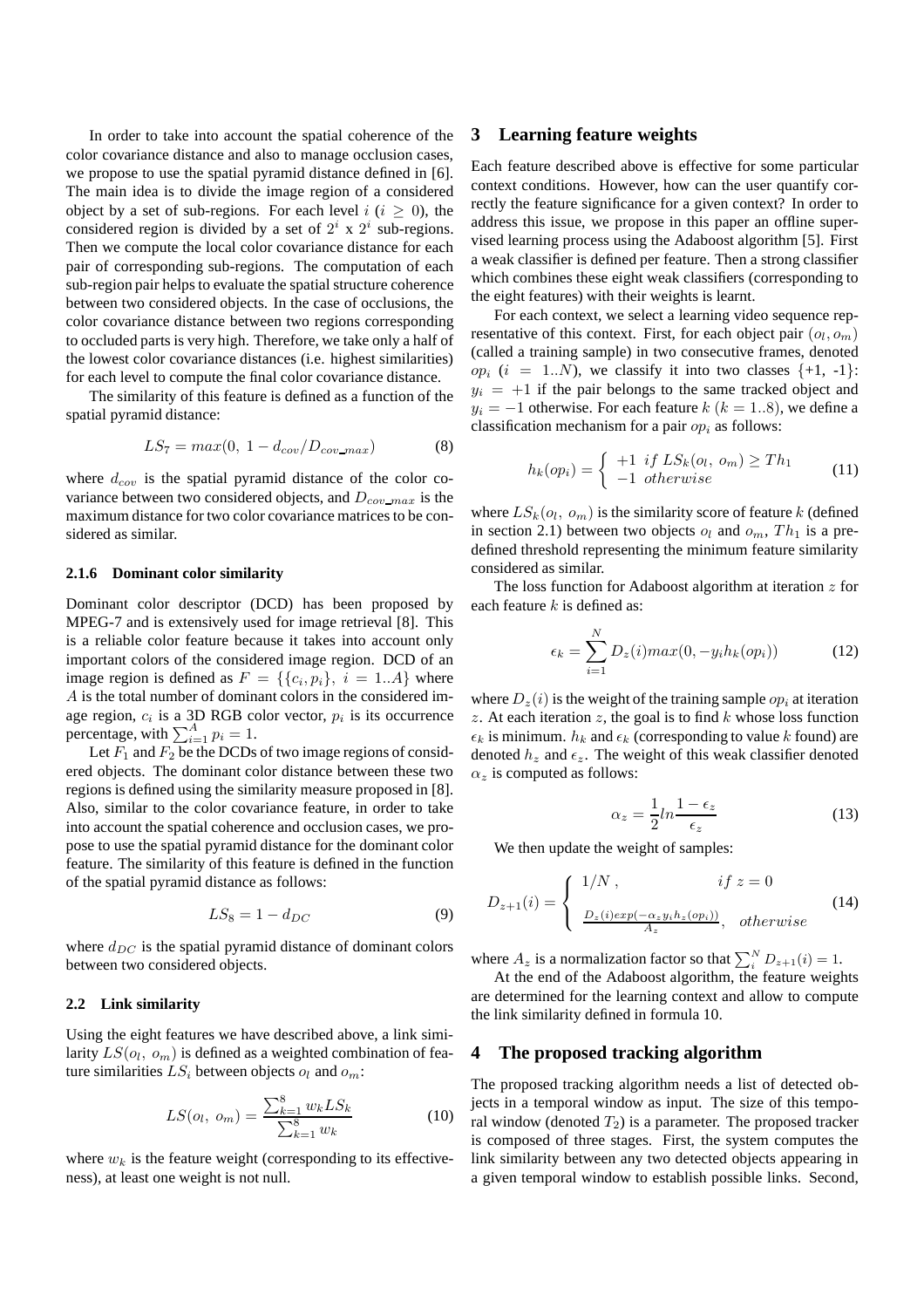In order to take into account the spatial coherence of the color covariance distance and also to manage occlusion cases, we propose to use the spatial pyramid distance defined in [6]. The main idea is to divide the image region of a considered object by a set of sub-regions. For each level  $i$  ( $i \geq 0$ ), the considered region is divided by a set of  $2^i$  x  $2^i$  sub-regions. Then we compute the local color covariance distance for each pair of corresponding sub-regions. The computation of each sub-region pair helps to evaluate the spatial structure coherence between two considered objects. In the case of occlusions, the color covariance distance between two regions corresponding to occluded parts is very high. Therefore, we take only a half of the lowest color covariance distances (i.e. highest similarities) for each level to compute the final color covariance distance.

The similarity of this feature is defined as a function of the spatial pyramid distance:

$$
LS_7 = max(0, 1 - d_{cov}/D_{cov\_max})
$$
 (8)

where  $d_{cov}$  is the spatial pyramid distance of the color covariance between two considered objects, and *Dcov max* is the maximum distance for two color covariance matrices to be considered as similar.

#### **2.1.6 Dominant color similarity**

Dominant color descriptor (DCD) has been proposed by MPEG-7 and is extensively used for image retrieval [8]. This is a reliable color feature because it takes into account only important colors of the considered image region. DCD of an image region is defined as  $F = \{\{c_i, p_i\}, i = 1..A\}$  where *A* is the total number of dominant colors in the considered image region, *c<sup>i</sup>* is a 3D RGB color vector, *p<sup>i</sup>* is its occurrence percentage, with  $\sum_{i=1}^{A} p_i = 1$ .

Let  $F_1$  and  $F_2$  be the DCDs of two image regions of considered objects. The dominant color distance between these two regions is defined using the similarity measure proposed in [8]. Also, similar to the color covariance feature, in order to take into account the spatial coherence and occlusion cases, we propose to use the spatial pyramid distance for the dominant color feature. The similarity of this feature is defined in the function of the spatial pyramid distance as follows:

$$
LS_8 = 1 - d_{DC} \tag{9}
$$

where  $d_{DC}$  is the spatial pyramid distance of dominant colors between two considered objects.

# **2.2 Link similarity**

Using the eight features we have described above, a link similarity  $LS(o_l,\ o_m)$  is defined as a weighted combination of feature similarities  $LS_i$  between objects  $o_l$  and  $o_m$ :

$$
LS(o_l, o_m) = \frac{\sum_{k=1}^{8} w_k LS_k}{\sum_{k=1}^{8} w_k}
$$
 (10)

where  $w_k$  is the feature weight (corresponding to its effectiveness), at least one weight is not null.

# **3 Learning feature weights**

Each feature described above is effective for some particular context conditions. However, how can the user quantify correctly the feature significance for a given context? In order to address this issue, we propose in this paper an offline supervised learning process using the Adaboost algorithm [5]. First a weak classifier is defined per feature. Then a strong classifier which combines these eight weak classifiers (corresponding to the eight features) with their weights is learnt.

For each context, we select a learning video sequence representative of this context. First, for each object pair  $(o_l, o_m)$ (called a training sample) in two consecutive frames, denoted  $op_i$  ( $i = 1..N$ ), we classify it into two classes  $\{+1, -1\}$ :  $y_i = +1$  if the pair belongs to the same tracked object and  $y_i = -1$  otherwise. For each feature  $k$  ( $k = 1..8$ ), we define a classification mechanism for a pair *op<sup>i</sup>* as follows:

$$
h_k(op_i) = \begin{cases} +1 & if \, LS_k(o_l, \, o_m) \geq Th_1 \\ -1 & otherwise \end{cases} \tag{11}
$$

where  $LS_k(o_l, o_m)$  is the similarity score of feature  $k$  (defined in section 2.1) between two objects  $o_l$  and  $o_m$ ,  $Th_1$  is a predefined threshold representing the minimum feature similarity considered as similar.

The loss function for Adaboost algorithm at iteration *z* for each feature *k* is defined as:

$$
\epsilon_k = \sum_{i=1}^{N} D_z(i) max(0, -y_i h_k(op_i)) \tag{12}
$$

where  $D_z(i)$  is the weight of the training sample  $op_i$  at iteration *z*. At each iteration *z*, the goal is to find *k* whose loss function  $\epsilon_k$  is minimum.  $h_k$  and  $\epsilon_k$  (corresponding to value *k* found) are denoted  $h_z$  and  $\epsilon_z$ . The weight of this weak classifier denoted  $\alpha$ <sup>*z*</sup> is computed as follows:

$$
\alpha_z = \frac{1}{2} ln \frac{1 - \epsilon_z}{\epsilon_z} \tag{13}
$$

We then update the weight of samples:

$$
D_{z+1}(i) = \begin{cases} 1/N, & if \ z = 0\\ \frac{D_z(i)exp(-\alpha_z y_i h_z(op_i))}{A_z}, & otherwise \end{cases}
$$
 (14)

where  $A_z$  is a normalization factor so that  $\sum_i^N D_{z+1}(i) = 1$ .

At the end of the Adaboost algorithm, the feature weights are determined for the learning context and allow to compute the link similarity defined in formula 10.

# **4 The proposed tracking algorithm**

The proposed tracking algorithm needs a list of detected objects in a temporal window as input. The size of this temporal window (denoted  $T_2$ ) is a parameter. The proposed tracker is composed of three stages. First, the system computes the link similarity between any two detected objects appearing in a given temporal window to establish possible links. Second,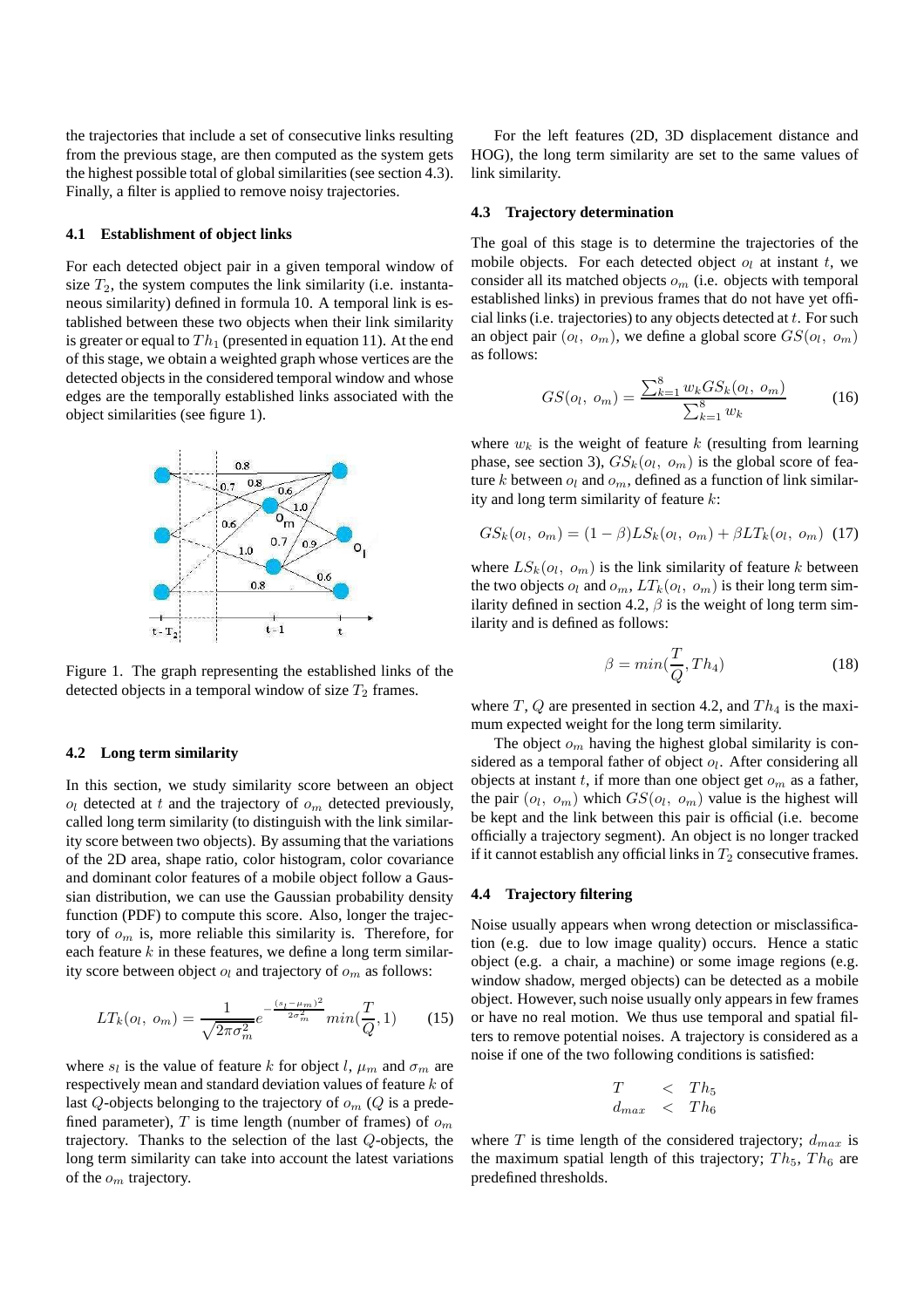the trajectories that include a set of consecutive links resulting from the previous stage, are then computed as the system gets the highest possible total of global similarities (see section 4.3). Finally, a filter is applied to remove noisy trajectories.

#### **4.1 Establishment of object links**

For each detected object pair in a given temporal window of size  $T_2$ , the system computes the link similarity (i.e. instantaneous similarity) defined in formula 10. A temporal link is established between these two objects when their link similarity is greater or equal to  $Th_1$  (presented in equation 11). At the end of this stage, we obtain a weighted graph whose vertices are the detected objects in the considered temporal window and whose edges are the temporally established links associated with the object similarities (see figure 1).



Figure 1. The graph representing the established links of the detected objects in a temporal window of size  $T_2$  frames.

#### **4.2 Long term similarity**

In this section, we study similarity score between an object  $o_l$  detected at *t* and the trajectory of  $o_m$  detected previously, called long term similarity (to distinguish with the link similarity score between two objects). By assuming that the variations of the 2D area, shape ratio, color histogram, color covariance and dominant color features of a mobile object follow a Gaussian distribution, we can use the Gaussian probability density function (PDF) to compute this score. Also, longer the trajectory of *o<sup>m</sup>* is, more reliable this similarity is. Therefore, for each feature *k* in these features, we define a long term similarity score between object  $o_l$  and trajectory of  $o_m$  as follows:

$$
LT_k(o_l, o_m) = \frac{1}{\sqrt{2\pi\sigma_m^2}} e^{-\frac{(s_l - \mu_m)^2}{2\sigma_m^2}} \min(\frac{T}{Q}, 1)
$$
 (15)

where  $s_l$  is the value of feature *k* for object *l*,  $\mu_m$  and  $\sigma_m$  are respectively mean and standard deviation values of feature *k* of last *Q*-objects belonging to the trajectory of  $o_m$  (*Q* is a predefined parameter),  $T$  is time length (number of frames) of  $o_m$ trajectory. Thanks to the selection of the last *Q*-objects, the long term similarity can take into account the latest variations of the *o<sup>m</sup>* trajectory.

For the left features (2D, 3D displacement distance and HOG), the long term similarity are set to the same values of link similarity.

#### **4.3 Trajectory determination**

The goal of this stage is to determine the trajectories of the mobile objects. For each detected object  $o_l$  at instant  $t$ , we consider all its matched objects *o<sup>m</sup>* (i.e. objects with temporal established links) in previous frames that do not have yet official links (i.e. trajectories) to any objects detected at *t*. For such an object pair  $(o_l, o_m)$ , we define a global score  $GS(o_l, o_m)$ as follows:

$$
GS(o_l, o_m) = \frac{\sum_{k=1}^{8} w_k GS_k(o_l, o_m)}{\sum_{k=1}^{8} w_k}
$$
 (16)

where  $w_k$  is the weight of feature  $k$  (resulting from learning phase, see section 3),  $GS_k(o_l, o_m)$  is the global score of feature  $k$  between  $o_l$  and  $o_m$ , defined as a function of link similarity and long term similarity of feature *k*:

$$
GS_k(o_l, o_m) = (1 - \beta)LS_k(o_l, o_m) + \beta LT_k(o_l, o_m)
$$
 (17)

where  $LS_k(o_l, o_m)$  is the link similarity of feature *k* between the two objects  $o_l$  and  $o_m$ ,  $LT_k(o_l, o_m)$  is their long term similarity defined in section 4.2,  $\beta$  is the weight of long term similarity and is defined as follows:

$$
\beta = \min(\frac{T}{Q}, Th_4) \tag{18}
$$

where  $T$ ,  $Q$  are presented in section 4.2, and  $Th_4$  is the maximum expected weight for the long term similarity.

The object  $o_m$  having the highest global similarity is considered as a temporal father of object *o<sup>l</sup>* . After considering all objects at instant *t*, if more than one object get *o<sup>m</sup>* as a father, the pair  $(o_l, o_m)$  which  $GS(o_l, o_m)$  value is the highest will be kept and the link between this pair is official (i.e. become officially a trajectory segment). An object is no longer tracked if it cannot establish any official links in  $T_2$  consecutive frames.

#### **4.4 Trajectory filtering**

Noise usually appears when wrong detection or misclassification (e.g. due to low image quality) occurs. Hence a static object (e.g. a chair, a machine) or some image regions (e.g. window shadow, merged objects) can be detected as a mobile object. However, such noise usually only appears in few frames or have no real motion. We thus use temporal and spatial filters to remove potential noises. A trajectory is considered as a noise if one of the two following conditions is satisfied:

$$
\begin{array}{rcl}\nT & < & Th_5 \\
d_{max} < & Th_6\n\end{array}
$$

where  $T$  is time length of the considered trajectory;  $d_{max}$  is the maximum spatial length of this trajectory;  $Th_5$ ,  $Th_6$  are predefined thresholds.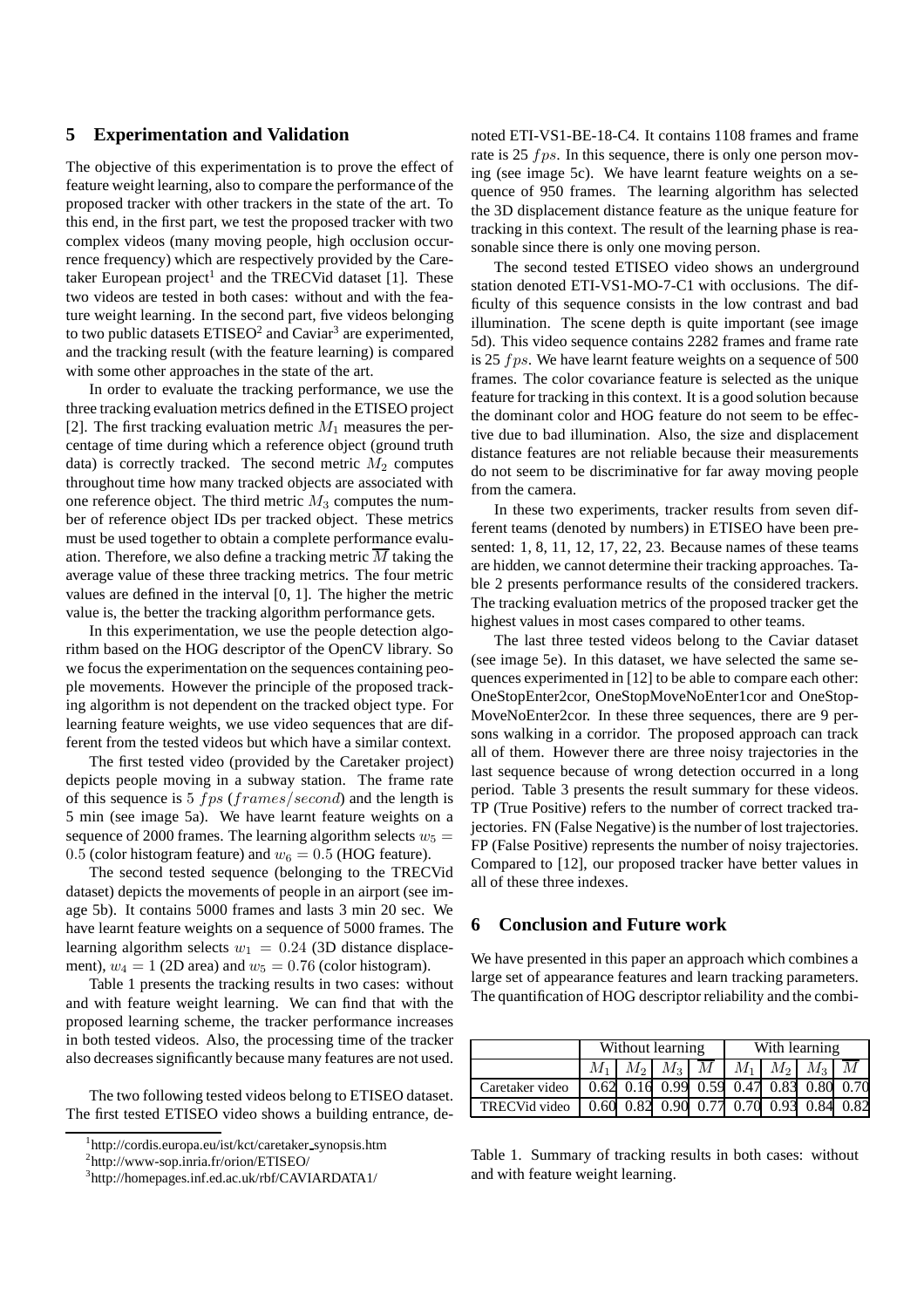# **5 Experimentation and Validation**

The objective of this experimentation is to prove the effect of feature weight learning, also to compare the performance of the proposed tracker with other trackers in the state of the art. To this end, in the first part, we test the proposed tracker with two complex videos (many moving people, high occlusion occurrence frequency) which are respectively provided by the Caretaker European project<sup>1</sup> and the TRECVid dataset [1]. These two videos are tested in both cases: without and with the feature weight learning. In the second part, five videos belonging to two public datasets  $ETISEO<sup>2</sup>$  and Caviar<sup>3</sup> are experimented, and the tracking result (with the feature learning) is compared with some other approaches in the state of the art.

In order to evaluate the tracking performance, we use the three tracking evaluation metrics defined in the ETISEO project [2]. The first tracking evaluation metric  $M_1$  measures the percentage of time during which a reference object (ground truth data) is correctly tracked. The second metric  $M_2$  computes throughout time how many tracked objects are associated with one reference object. The third metric  $M_3$  computes the number of reference object IDs per tracked object. These metrics must be used together to obtain a complete performance evaluation. Therefore, we also define a tracking metric  $\overline{M}$  taking the average value of these three tracking metrics. The four metric values are defined in the interval [0, 1]. The higher the metric value is, the better the tracking algorithm performance gets.

In this experimentation, we use the people detection algorithm based on the HOG descriptor of the OpenCV library. So we focus the experimentation on the sequences containing people movements. However the principle of the proposed tracking algorithm is not dependent on the tracked object type. For learning feature weights, we use video sequences that are different from the tested videos but which have a similar context.

The first tested video (provided by the Caretaker project) depicts people moving in a subway station. The frame rate of this sequence is 5 *f ps* (*frames/second*) and the length is 5 min (see image 5a). We have learnt feature weights on a sequence of 2000 frames. The learning algorithm selects  $w_5$  = 0.5 (color histogram feature) and  $w_6 = 0.5$  (HOG feature).

The second tested sequence (belonging to the TRECVid dataset) depicts the movements of people in an airport (see image 5b). It contains 5000 frames and lasts 3 min 20 sec. We have learnt feature weights on a sequence of 5000 frames. The learning algorithm selects  $w_1 = 0.24$  (3D distance displacement),  $w_4 = 1$  (2D area) and  $w_5 = 0.76$  (color histogram).

Table 1 presents the tracking results in two cases: without and with feature weight learning. We can find that with the proposed learning scheme, the tracker performance increases in both tested videos. Also, the processing time of the tracker also decreases significantly because many features are not used.

The two following tested videos belong to ETISEO dataset. The first tested ETISEO video shows a building entrance, denoted ETI-VS1-BE-18-C4. It contains 1108 frames and frame rate is 25 *f ps*. In this sequence, there is only one person moving (see image 5c). We have learnt feature weights on a sequence of 950 frames. The learning algorithm has selected the 3D displacement distance feature as the unique feature for tracking in this context. The result of the learning phase is reasonable since there is only one moving person.

The second tested ETISEO video shows an underground station denoted ETI-VS1-MO-7-C1 with occlusions. The difficulty of this sequence consists in the low contrast and bad illumination. The scene depth is quite important (see image 5d). This video sequence contains 2282 frames and frame rate is 25 *f ps*. We have learnt feature weights on a sequence of 500 frames. The color covariance feature is selected as the unique feature for tracking in this context. It is a good solution because the dominant color and HOG feature do not seem to be effective due to bad illumination. Also, the size and displacement distance features are not reliable because their measurements do not seem to be discriminative for far away moving people from the camera.

In these two experiments, tracker results from seven different teams (denoted by numbers) in ETISEO have been presented: 1, 8, 11, 12, 17, 22, 23. Because names of these teams are hidden, we cannot determine their tracking approaches. Table 2 presents performance results of the considered trackers. The tracking evaluation metrics of the proposed tracker get the highest values in most cases compared to other teams.

The last three tested videos belong to the Caviar dataset (see image 5e). In this dataset, we have selected the same sequences experimented in [12] to be able to compare each other: OneStopEnter2cor, OneStopMoveNoEnter1cor and OneStop-MoveNoEnter2cor. In these three sequences, there are 9 persons walking in a corridor. The proposed approach can track all of them. However there are three noisy trajectories in the last sequence because of wrong detection occurred in a long period. Table 3 presents the result summary for these videos. TP (True Positive) refers to the number of correct tracked trajectories. FN (False Negative) is the number of lost trajectories. FP (False Positive) represents the number of noisy trajectories. Compared to [12], our proposed tracker have better values in all of these three indexes.

# **6 Conclusion and Future work**

We have presented in this paper an approach which combines a large set of appearance features and learn tracking parameters. The quantification of HOG descriptor reliability and the combi-

|                                                           | Without learning |  |  |  | With learning |  |                                 |  |
|-----------------------------------------------------------|------------------|--|--|--|---------------|--|---------------------------------|--|
|                                                           |                  |  |  |  |               |  | $M_1 M_2 M_3 M M M_1 M_2 M_3 M$ |  |
| Caretaker video   0.62 0.16 0.99 0.59 0.47 0.83 0.80 0.70 |                  |  |  |  |               |  |                                 |  |
| TRECVid video   0.60 0.82 0.90 0.77 0.70 0.93 0.84 0.82   |                  |  |  |  |               |  |                                 |  |

Table 1. Summary of tracking results in both cases: without and with feature weight learning.

<sup>1</sup> http://cordis.europa.eu/ist/kct/caretaker synopsis.htm

<sup>2</sup> http://www-sop.inria.fr/orion/ETISEO/

<sup>3</sup> http://homepages.inf.ed.ac.uk/rbf/CAVIARDATA1/